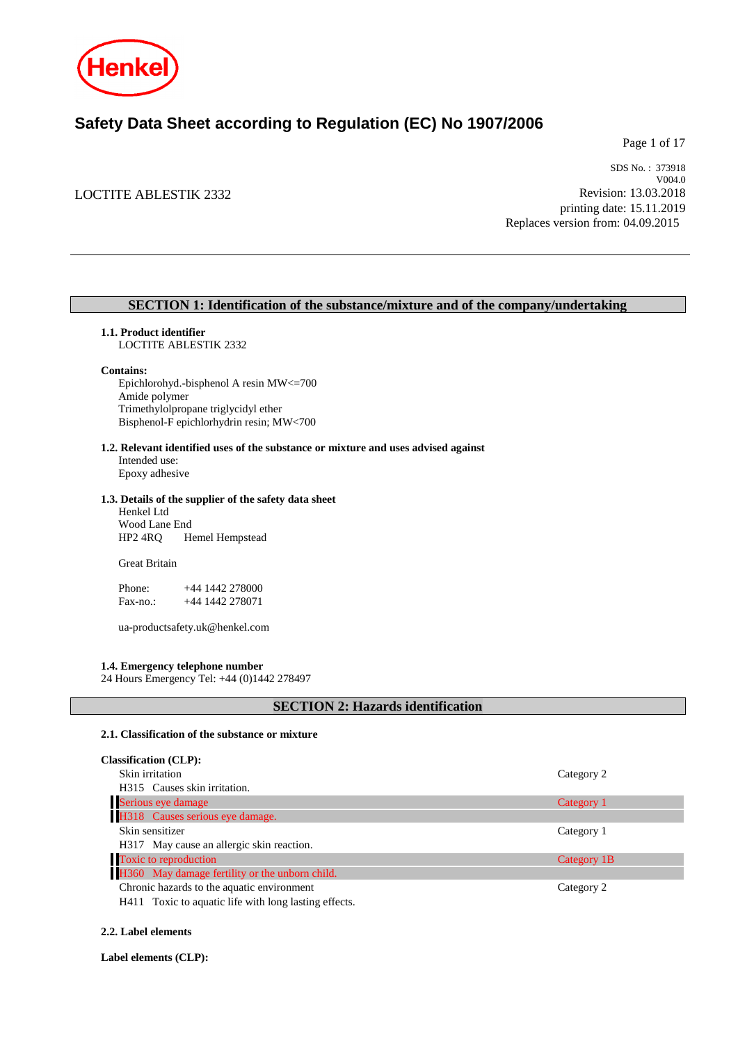

# **Safety Data Sheet according to Regulation (EC) No 1907/2006**

Page 1 of 17

# LOCTITE ABLESTIK 2332

SDS No. : 373918 V004.0 Revision: 13.03.2018 printing date: 15.11.2019 Replaces version from: 04.09.2015

# **SECTION 1: Identification of the substance/mixture and of the company/undertaking**

#### **1.1. Product identifier**

LOCTITE ABLESTIK 2332

#### **Contains:**

Epichlorohyd.-bisphenol A resin MW<=700 Amide polymer Trimethylolpropane triglycidyl ether Bisphenol-F epichlorhydrin resin; MW<700

# **1.2. Relevant identified uses of the substance or mixture and uses advised against**

Intended use: Epoxy adhesive

#### **1.3. Details of the supplier of the safety data sheet**

Henkel Ltd Wood Lane End HP2 4RQ Hemel Hempstead

Great Britain

Phone: +44 1442 278000 Fax-no.: +44 1442 278071

ua-productsafety.uk@henkel.com

#### **1.4. Emergency telephone number**

24 Hours Emergency Tel: +44 (0)1442 278497

# **SECTION 2: Hazards identification**

#### **2.1. Classification of the substance or mixture**

| <b>Classification (CLP):</b>                                                                                            |             |
|-------------------------------------------------------------------------------------------------------------------------|-------------|
| Skin irritation                                                                                                         | Category 2  |
| H315 Causes skin irritation.                                                                                            |             |
| Serious eye damage                                                                                                      | Category 1  |
| H318 Causes serious eye damage.                                                                                         |             |
| Skin sensitizer                                                                                                         | Category 1  |
| H317 May cause an allergic skin reaction.                                                                               |             |
| Toxic to reproduction                                                                                                   | Category 1B |
| H360 May damage fertility or the unborn child.                                                                          |             |
| Chronic hazards to the aquatic environment                                                                              | Category 2  |
| $\mathbf{r}$ and $\mathbf{r}$ and $\mathbf{r}$ are the set of $\mathbf{r}$ and $\mathbf{r}$ are the set of $\mathbf{r}$ |             |

H411 Toxic to aquatic life with long lasting effects.

# **2.2. Label elements**

**Label elements (CLP):**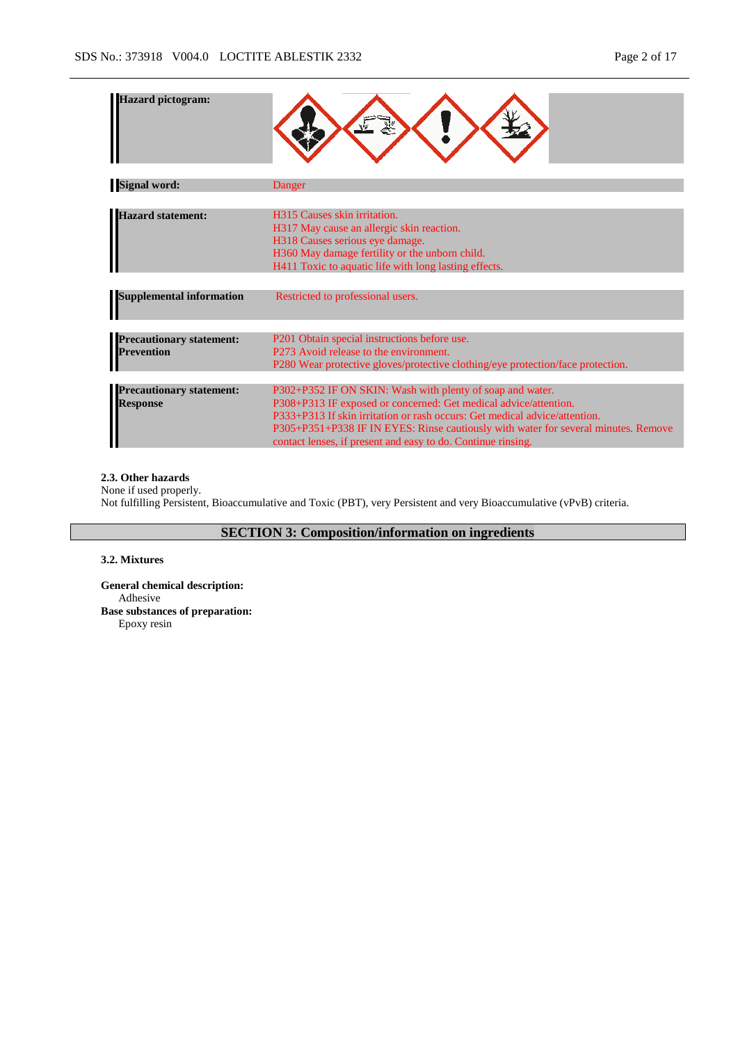| <b>Hazard pictogram:</b>                           |                                                                                                                                                                                                                                                                                                                                                                   |
|----------------------------------------------------|-------------------------------------------------------------------------------------------------------------------------------------------------------------------------------------------------------------------------------------------------------------------------------------------------------------------------------------------------------------------|
| <b>Signal word:</b>                                | Danger                                                                                                                                                                                                                                                                                                                                                            |
|                                                    |                                                                                                                                                                                                                                                                                                                                                                   |
| <b>Hazard statement:</b>                           | H315 Causes skin irritation.<br>H317 May cause an allergic skin reaction.<br>H318 Causes serious eye damage.<br>H360 May damage fertility or the unborn child.<br>H411 Toxic to aquatic life with long lasting effects.                                                                                                                                           |
|                                                    |                                                                                                                                                                                                                                                                                                                                                                   |
| <b>Supplemental information</b>                    | Restricted to professional users.                                                                                                                                                                                                                                                                                                                                 |
|                                                    |                                                                                                                                                                                                                                                                                                                                                                   |
| <b>Precautionary statement:</b><br>Prevention      | P201 Obtain special instructions before use.<br>P273 Avoid release to the environment.<br>P280 Wear protective gloves/protective clothing/eye protection/face protection.                                                                                                                                                                                         |
|                                                    |                                                                                                                                                                                                                                                                                                                                                                   |
| <b>Precautionary statement:</b><br><b>Response</b> | P302+P352 IF ON SKIN: Wash with plenty of soap and water.<br>P308+P313 IF exposed or concerned: Get medical advice/attention.<br>P333+P313 If skin irritation or rash occurs: Get medical advice/attention.<br>P305+P351+P338 IF IN EYES: Rinse cautiously with water for several minutes. Remove<br>contact lenses, if present and easy to do. Continue rinsing. |

## **2.3. Other hazards**

None if used properly. Not fulfilling Persistent, Bioaccumulative and Toxic (PBT), very Persistent and very Bioaccumulative (vPvB) criteria.

# **SECTION 3: Composition/information on ingredients**

#### **3.2. Mixtures**

**General chemical description:** Adhesive **Base substances of preparation:** Epoxy resin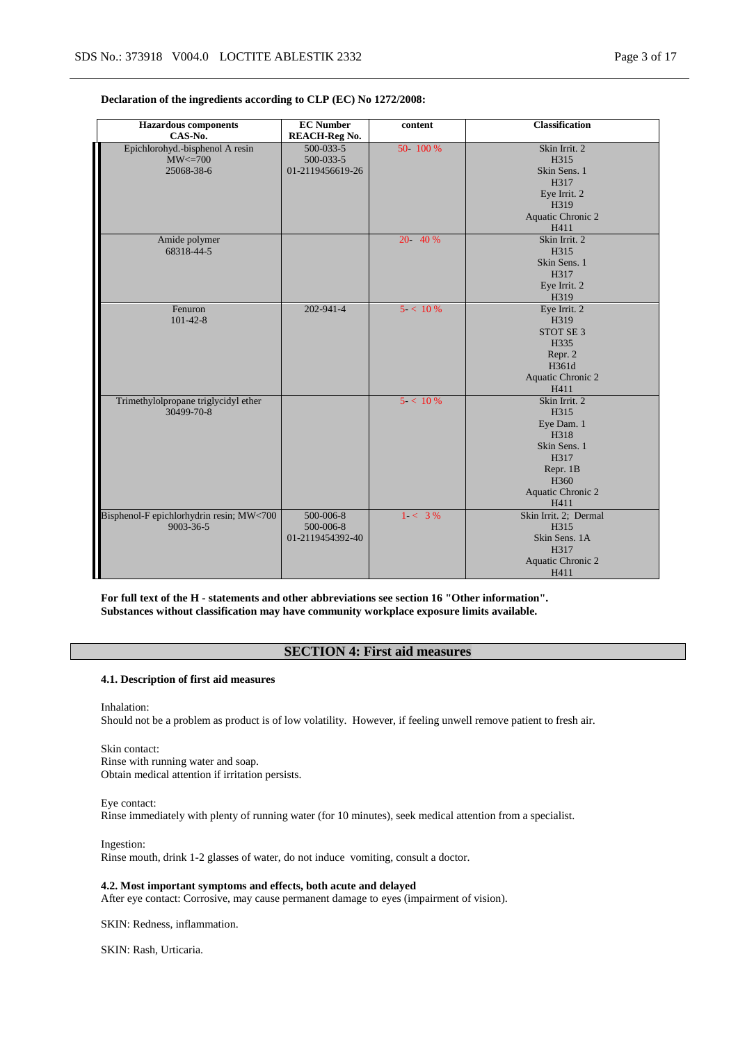| <b>Hazardous</b> components<br>CAS-No.                        | <b>EC Number</b><br><b>REACH-Reg No.</b>   | content    | <b>Classification</b>                                                                                                            |
|---------------------------------------------------------------|--------------------------------------------|------------|----------------------------------------------------------------------------------------------------------------------------------|
| Epichlorohyd.-bisphenol A resin<br>$MW < = 700$<br>25068-38-6 | 500-033-5<br>500-033-5<br>01-2119456619-26 | 50 100 %   | Skin Irrit. 2<br>H315<br>Skin Sens. 1<br>H317<br>Eye Irrit. 2<br>H319<br>Aquatic Chronic 2<br>H411                               |
| Amide polymer<br>68318-44-5                                   |                                            | 20 40 %    | Skin Irrit. 2<br>H315<br>Skin Sens. 1<br>H317<br>Eye Irrit. 2<br>H319                                                            |
| Fenuron<br>$101 - 42 - 8$                                     | 202-941-4                                  | $5 < 10\%$ | Eye Irrit. 2<br>H319<br>STOT SE 3<br>H335<br>Repr. 2<br>H361d<br>Aquatic Chronic 2<br>H411                                       |
| Trimethylolpropane triglycidyl ether<br>30499-70-8            |                                            | 5 < 10%    | Skin Irrit. 2<br>H315<br>Eye Dam. 1<br>H318<br>Skin Sens. 1<br>H317<br>Repr. 1B<br>H <sub>360</sub><br>Aquatic Chronic 2<br>H411 |
| Bisphenol-F epichlorhydrin resin; MW<700<br>9003-36-5         | 500-006-8<br>500-006-8<br>01-2119454392-40 | $1 - 3\%$  | Skin Irrit. 2; Dermal<br>H315<br>Skin Sens. 1A<br>H317<br>Aquatic Chronic 2<br>H411                                              |

#### **Declaration of the ingredients according to CLP (EC) No 1272/2008:**

**For full text of the H - statements and other abbreviations see section 16 "Other information". Substances without classification may have community workplace exposure limits available.**

## **SECTION 4: First aid measures**

#### **4.1. Description of first aid measures**

Inhalation: Should not be a problem as product is of low volatility. However, if feeling unwell remove patient to fresh air.

Skin contact: Rinse with running water and soap. Obtain medical attention if irritation persists.

Eye contact: Rinse immediately with plenty of running water (for 10 minutes), seek medical attention from a specialist.

Ingestion: Rinse mouth, drink 1-2 glasses of water, do not induce vomiting, consult a doctor.

**4.2. Most important symptoms and effects, both acute and delayed** After eye contact: Corrosive, may cause permanent damage to eyes (impairment of vision).

SKIN: Redness, inflammation.

SKIN: Rash, Urticaria.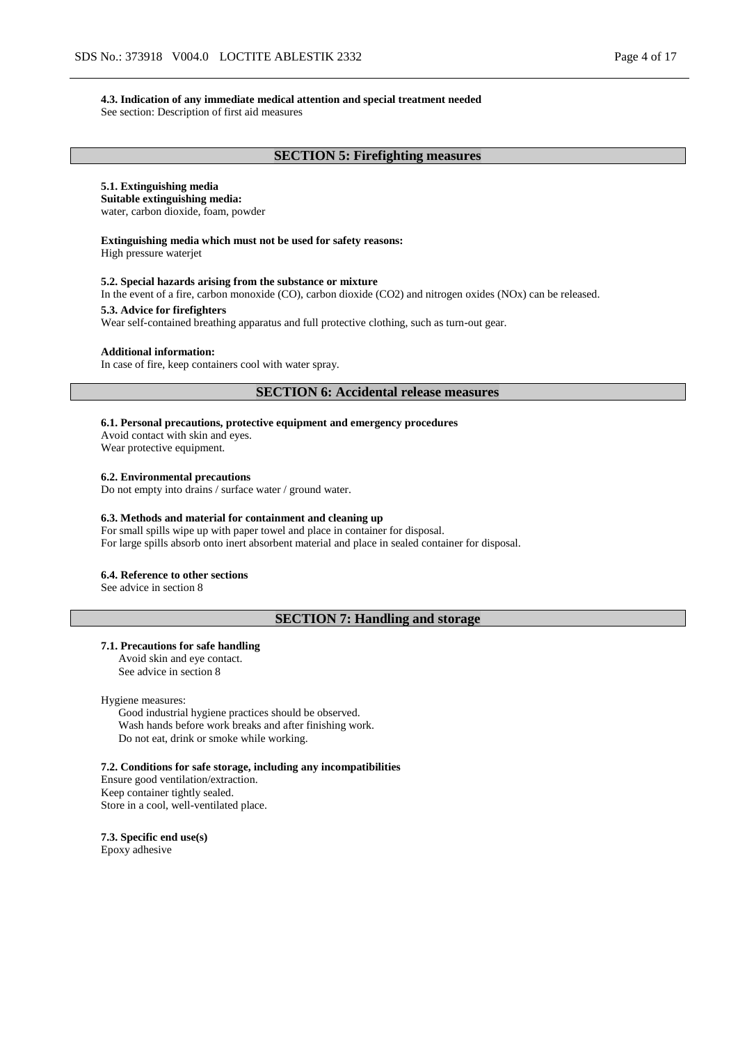#### **4.3. Indication of any immediate medical attention and special treatment needed**

See section: Description of first aid measures

## **SECTION 5: Firefighting measures**

# **5.1. Extinguishing media**

**Suitable extinguishing media:**

water, carbon dioxide, foam, powder

# **Extinguishing media which must not be used for safety reasons:**

High pressure waterjet

#### **5.2. Special hazards arising from the substance or mixture**

In the event of a fire, carbon monoxide (CO), carbon dioxide (CO2) and nitrogen oxides (NOx) can be released.

#### **5.3. Advice for firefighters**

Wear self-contained breathing apparatus and full protective clothing, such as turn-out gear.

#### **Additional information:**

In case of fire, keep containers cool with water spray.

#### **SECTION 6: Accidental release measures**

**6.1. Personal precautions, protective equipment and emergency procedures**

Avoid contact with skin and eyes. Wear protective equipment.

**6.2. Environmental precautions**

Do not empty into drains / surface water / ground water.

#### **6.3. Methods and material for containment and cleaning up**

For small spills wipe up with paper towel and place in container for disposal. For large spills absorb onto inert absorbent material and place in sealed container for disposal.

#### **6.4. Reference to other sections**

See advice in section 8

# **SECTION 7: Handling and storage**

#### **7.1. Precautions for safe handling**

Avoid skin and eye contact. See advice in section 8

Hygiene measures:

Good industrial hygiene practices should be observed. Wash hands before work breaks and after finishing work. Do not eat, drink or smoke while working.

**7.2. Conditions for safe storage, including any incompatibilities**

Ensure good ventilation/extraction. Keep container tightly sealed. Store in a cool, well-ventilated place.

**7.3. Specific end use(s)** Epoxy adhesive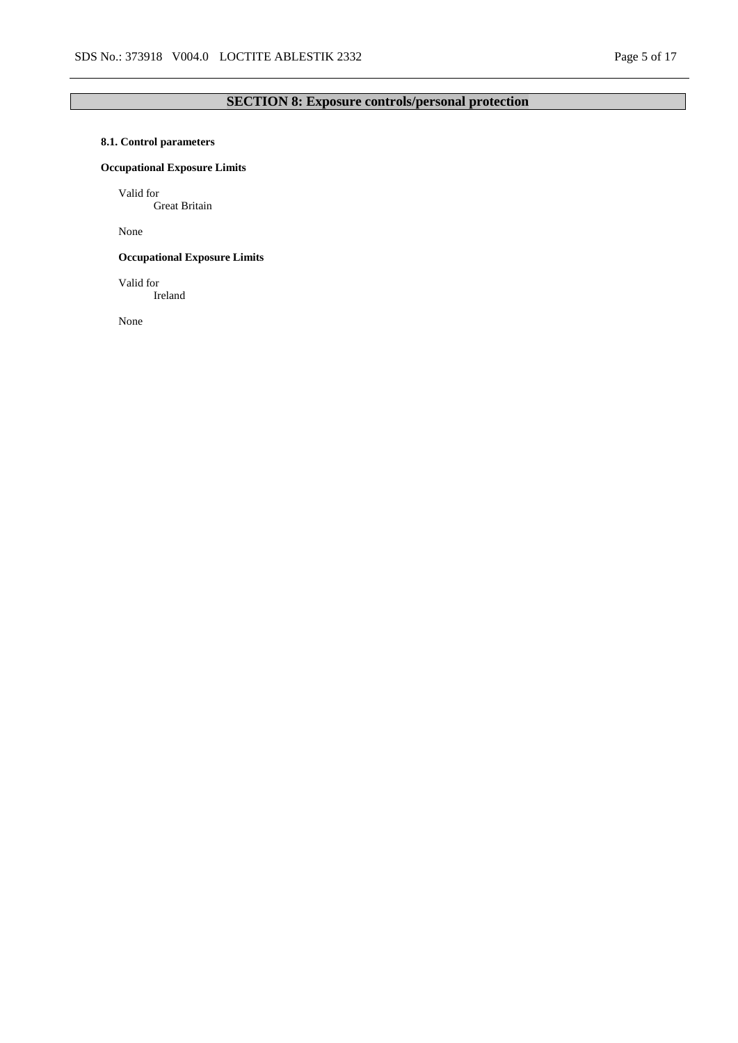# **SECTION 8: Exposure controls/personal protection**

# **8.1. Control parameters**

# **Occupational Exposure Limits**

Valid for

Great Britain

None

# **Occupational Exposure Limits**

Valid for Ireland

None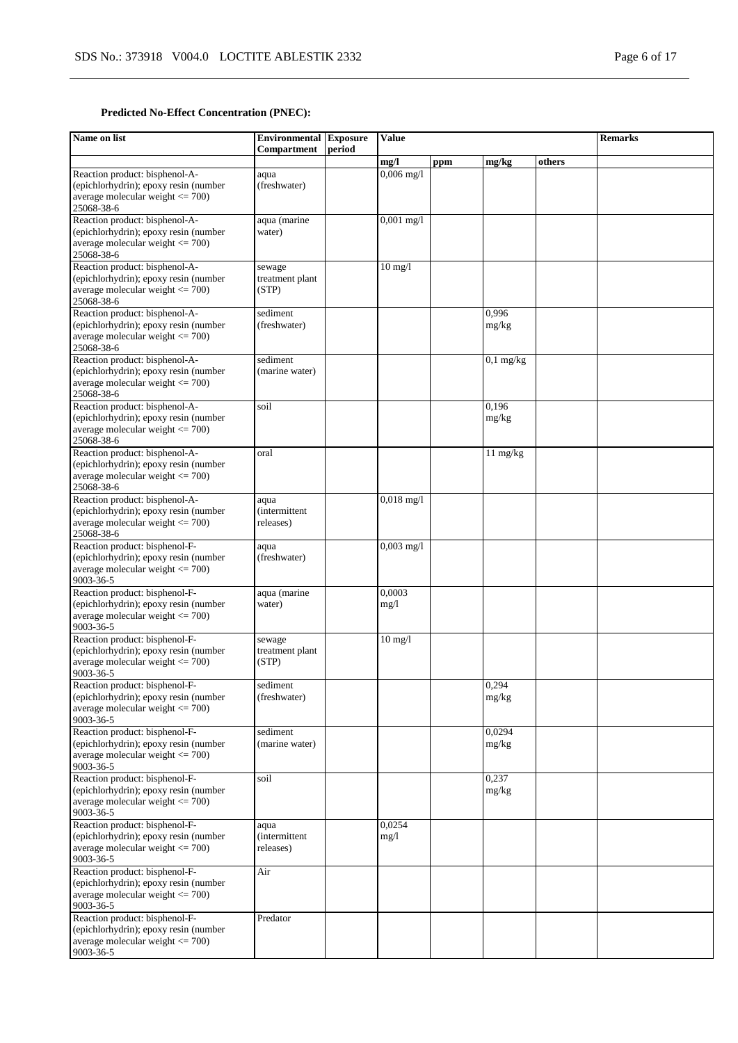# **Predicted No-Effect Concentration (PNEC):**

| Name on list                                                                                                                  | <b>Environmental Exposure</b><br>Compartment | period | Value             |     |                    |        | <b>Remarks</b> |
|-------------------------------------------------------------------------------------------------------------------------------|----------------------------------------------|--------|-------------------|-----|--------------------|--------|----------------|
|                                                                                                                               |                                              |        | mg/l              | ppm | mg/kg              | others |                |
| Reaction product: bisphenol-A-<br>(epichlorhydrin); epoxy resin (number<br>average molecular weight $\leq$ 700)<br>25068-38-6 | aqua<br>(freshwater)                         |        | $0,006$ mg/l      |     |                    |        |                |
| Reaction product: bisphenol-A-<br>(epichlorhydrin); epoxy resin (number<br>average molecular weight $\leq$ 700)<br>25068-38-6 | aqua (marine<br>water)                       |        | $0,001$ mg/l      |     |                    |        |                |
| Reaction product: bisphenol-A-<br>(epichlorhydrin); epoxy resin (number<br>average molecular weight $\leq$ 700)<br>25068-38-6 | sewage<br>treatment plant<br>(STP)           |        | $10 \text{ mg}/1$ |     |                    |        |                |
| Reaction product: bisphenol-A-<br>(epichlorhydrin); epoxy resin (number<br>average molecular weight $\leq$ 700)<br>25068-38-6 | sediment<br>(freshwater)                     |        |                   |     | 0,996<br>mg/kg     |        |                |
| Reaction product: bisphenol-A-<br>(epichlorhydrin); epoxy resin (number<br>average molecular weight $\leq$ 700)<br>25068-38-6 | sediment<br>(marine water)                   |        |                   |     | $0,1$ mg/kg        |        |                |
| Reaction product: bisphenol-A-<br>(epichlorhydrin); epoxy resin (number<br>average molecular weight $\leq$ 700)<br>25068-38-6 | soil                                         |        |                   |     | 0,196<br>mg/kg     |        |                |
| Reaction product: bisphenol-A-<br>(epichlorhydrin); epoxy resin (number<br>average molecular weight $\leq$ 700)<br>25068-38-6 | oral                                         |        |                   |     | $11 \text{ mg/kg}$ |        |                |
| Reaction product: bisphenol-A-<br>(epichlorhydrin); epoxy resin (number<br>average molecular weight $\leq$ 700)<br>25068-38-6 | aqua<br><i>(intermittent)</i><br>releases)   |        | $0,018$ mg/l      |     |                    |        |                |
| Reaction product: bisphenol-F-<br>(epichlorhydrin); epoxy resin (number<br>average molecular weight $\leq$ 700)<br>9003-36-5  | aqua<br>(freshwater)                         |        | $0,003$ mg/l      |     |                    |        |                |
| Reaction product: bisphenol-F-<br>(epichlorhydrin); epoxy resin (number<br>average molecular weight $\leq$ 700)<br>9003-36-5  | aqua (marine<br>water)                       |        | 0,0003<br>mg/1    |     |                    |        |                |
| Reaction product: bisphenol-F-<br>(epichlorhydrin); epoxy resin (number<br>average molecular weight $\leq$ 700)<br>9003-36-5  | sewage<br>treatment plant<br>(STP)           |        | $10 \text{ mg}/l$ |     |                    |        |                |
| Reaction product: bisphenol-F-<br>(epichlorhydrin); epoxy resin (number<br>average molecular weight $\leq$ 700)<br>9003-36-5  | sediment<br>(freshwater)                     |        |                   |     | 0,294<br>mg/kg     |        |                |
| Reaction product: bisphenol-F-<br>(epichlorhydrin); epoxy resin (number<br>average molecular weight $\leq$ 700)<br>9003-36-5  | sediment<br>(marine water)                   |        |                   |     | 0,0294<br>mg/kg    |        |                |
| Reaction product: bisphenol-F-<br>(epichlorhydrin); epoxy resin (number<br>average molecular weight $\leq$ 700)<br>9003-36-5  | soil                                         |        |                   |     | 0,237<br>mg/kg     |        |                |
| Reaction product: bisphenol-F-<br>(epichlorhydrin); epoxy resin (number<br>average molecular weight $\leq$ 700)<br>9003-36-5  | aqua<br><i>(intermittent</i><br>releases)    |        | 0.0254<br>mg/l    |     |                    |        |                |
| Reaction product: bisphenol-F-<br>(epichlorhydrin); epoxy resin (number<br>average molecular weight $\leq$ 700)<br>9003-36-5  | Air                                          |        |                   |     |                    |        |                |
| Reaction product: bisphenol-F-<br>(epichlorhydrin); epoxy resin (number<br>average molecular weight $\leq$ 700)<br>9003-36-5  | Predator                                     |        |                   |     |                    |        |                |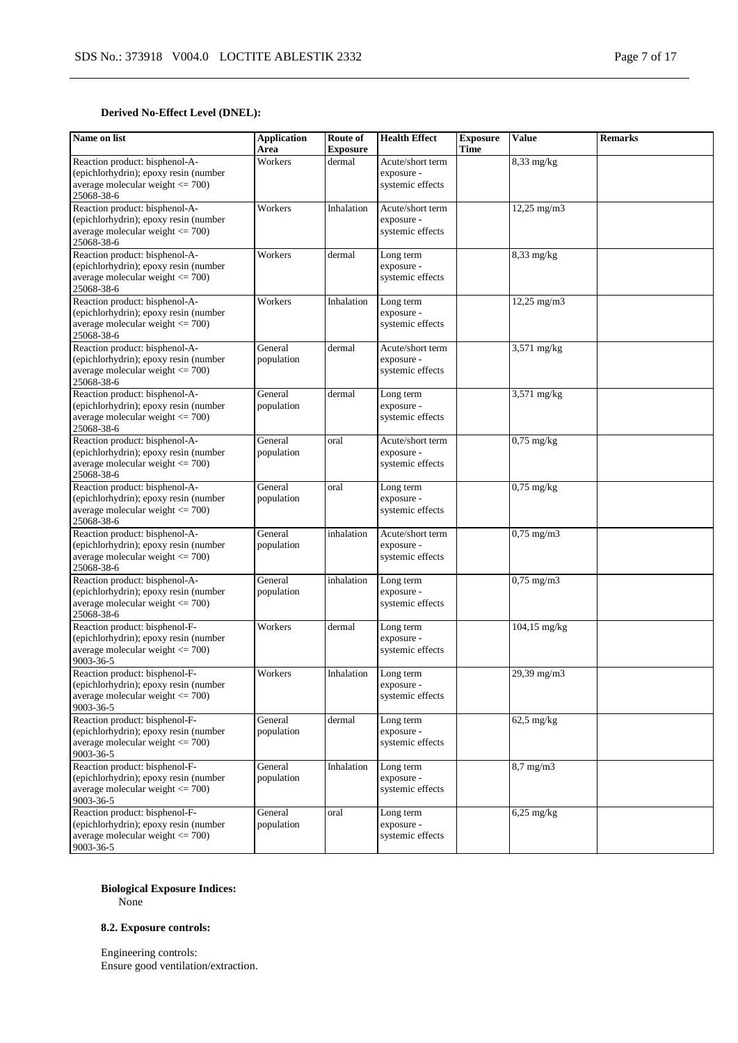# **Derived No-Effect Level (DNEL):**

| Name on list                                                                                                                  | <b>Application</b><br>Area | Route of<br><b>Exposure</b> | <b>Health Effect</b>                               | <b>Exposure</b><br>Time | <b>Value</b>    | <b>Remarks</b> |
|-------------------------------------------------------------------------------------------------------------------------------|----------------------------|-----------------------------|----------------------------------------------------|-------------------------|-----------------|----------------|
| Reaction product: bisphenol-A-<br>(epichlorhydrin); epoxy resin (number<br>average molecular weight $\leq$ 700)<br>25068-38-6 | Workers                    | dermal                      | Acute/short term<br>exposure -<br>systemic effects |                         | $8,33$ mg/kg    |                |
| Reaction product: bisphenol-A-<br>(epichlorhydrin); epoxy resin (number<br>average molecular weight $\leq$ 700)<br>25068-38-6 | Workers                    | Inhalation                  | Acute/short term<br>exposure -<br>systemic effects |                         | 12,25 mg/m3     |                |
| Reaction product: bisphenol-A-<br>(epichlorhydrin); epoxy resin (number<br>average molecular weight $\leq$ 700)<br>25068-38-6 | Workers                    | dermal                      | Long term<br>exposure -<br>systemic effects        |                         | $8,33$ mg/kg    |                |
| Reaction product: bisphenol-A-<br>(epichlorhydrin); epoxy resin (number<br>average molecular weight $\leq$ 700)<br>25068-38-6 | Workers                    | Inhalation                  | Long term<br>exposure -<br>systemic effects        |                         | $12,25$ mg/m3   |                |
| Reaction product: bisphenol-A-<br>(epichlorhydrin); epoxy resin (number<br>average molecular weight $<= 700$ )<br>25068-38-6  | General<br>population      | dermal                      | Acute/short term<br>exposure -<br>systemic effects |                         | 3,571 mg/kg     |                |
| Reaction product: bisphenol-A-<br>(epichlorhydrin); epoxy resin (number<br>average molecular weight $\leq$ 700)<br>25068-38-6 | General<br>population      | dermal                      | Long term<br>exposure -<br>systemic effects        |                         | 3,571 mg/kg     |                |
| Reaction product: bisphenol-A-<br>(epichlorhydrin); epoxy resin (number<br>average molecular weight $\leq$ 700)<br>25068-38-6 | General<br>population      | oral                        | Acute/short term<br>exposure -<br>systemic effects |                         | $0,75$ mg/kg    |                |
| Reaction product: bisphenol-A-<br>(epichlorhydrin); epoxy resin (number<br>average molecular weight $\leq$ 700)<br>25068-38-6 | General<br>population      | oral                        | Long term<br>exposure -<br>systemic effects        |                         | $0,75$ mg/kg    |                |
| Reaction product: bisphenol-A-<br>(epichlorhydrin); epoxy resin (number<br>average molecular weight $\leq$ 700)<br>25068-38-6 | General<br>population      | inhalation                  | Acute/short term<br>exposure -<br>systemic effects |                         | $0,75$ mg/m $3$ |                |
| Reaction product: bisphenol-A-<br>(epichlorhydrin); epoxy resin (number<br>average molecular weight $\leq$ 700)<br>25068-38-6 | General<br>population      | inhalation                  | Long term<br>exposure -<br>systemic effects        |                         | $0,75$ mg/m $3$ |                |
| Reaction product: bisphenol-F-<br>(epichlorhydrin); epoxy resin (number<br>average molecular weight $\leq$ 700)<br>9003-36-5  | Workers                    | dermal                      | Long term<br>exposure -<br>systemic effects        |                         | $104,15$ mg/kg  |                |
| Reaction product: bisphenol-F-<br>(epichlorhydrin); epoxy resin (number<br>average molecular weight $\leq$ 700)<br>9003-36-5  | Workers                    | Inhalation                  | Long term<br>exposure -<br>systemic effects        |                         | 29,39 mg/m3     |                |
| Reaction product: bisphenol-F-<br>(epichlorhydrin); epoxy resin (number<br>average molecular weight $\leq$ 700)<br>9003-36-5  | General<br>population      | dermal                      | Long term<br>exposure -<br>systemic effects        |                         | $62,5$ mg/kg    |                |
| Reaction product: bisphenol-F-<br>(epichlorhydrin); epoxy resin (number<br>average molecular weight $\leq$ 700)<br>9003-36-5  | General<br>population      | Inhalation                  | Long term<br>exposure -<br>systemic effects        |                         | 8,7 mg/m3       |                |
| Reaction product: bisphenol-F-<br>(epichlorhydrin); epoxy resin (number<br>average molecular weight $\leq$ 700)<br>9003-36-5  | General<br>population      | oral                        | Long term<br>exposure -<br>systemic effects        |                         | $6,25$ mg/kg    |                |

# **Biological Exposure Indices:**

None

# **8.2. Exposure controls:**

Engineering controls: Ensure good ventilation/extraction.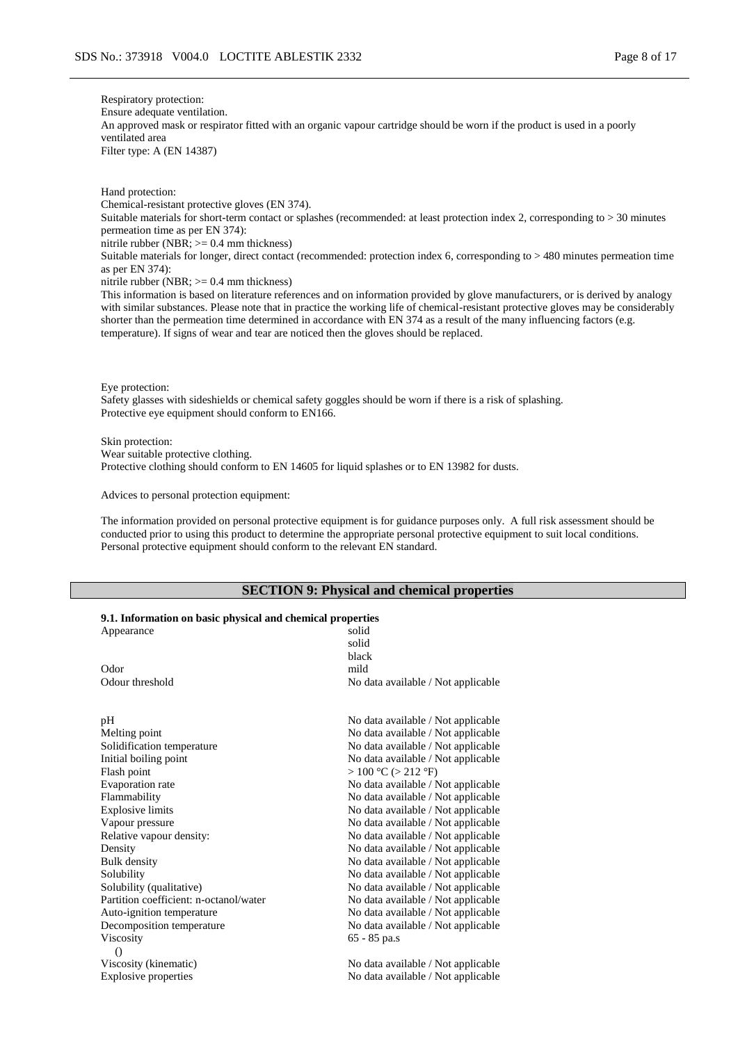Respiratory protection: Ensure adequate ventilation. An approved mask or respirator fitted with an organic vapour cartridge should be worn if the product is used in a poorly ventilated area Filter type: A (EN 14387)

Hand protection: Chemical-resistant protective gloves (EN 374). Suitable materials for short-term contact or splashes (recommended: at least protection index 2, corresponding to > 30 minutes permeation time as per EN 374): nitrile rubber (NBR; >= 0.4 mm thickness) Suitable materials for longer, direct contact (recommended: protection index 6, corresponding to > 480 minutes permeation time as per EN 374): nitrile rubber (NBR;  $>= 0.4$  mm thickness)

This information is based on literature references and on information provided by glove manufacturers, or is derived by analogy with similar substances. Please note that in practice the working life of chemical-resistant protective gloves may be considerably shorter than the permeation time determined in accordance with EN 374 as a result of the many influencing factors (e.g. temperature). If signs of wear and tear are noticed then the gloves should be replaced.

Eye protection:

Safety glasses with sideshields or chemical safety goggles should be worn if there is a risk of splashing. Protective eye equipment should conform to EN166.

Skin protection:

Wear suitable protective clothing.

Protective clothing should conform to EN 14605 for liquid splashes or to EN 13982 for dusts.

Advices to personal protection equipment:

The information provided on personal protective equipment is for guidance purposes only. A full risk assessment should be conducted prior to using this product to determine the appropriate personal protective equipment to suit local conditions. Personal protective equipment should conform to the relevant EN standard.

# **SECTION 9: Physical and chemical properties**

# **9.1. Information on basic physical and chemical properties**

| Appearance                             | solid                              |
|----------------------------------------|------------------------------------|
|                                        | solid                              |
|                                        | black                              |
| Odor                                   | mild                               |
| Odour threshold                        | No data available / Not applicable |
| pH                                     | No data available / Not applicable |
| Melting point                          | No data available / Not applicable |
| Solidification temperature             | No data available / Not applicable |
| Initial boiling point                  | No data available / Not applicable |
| Flash point                            | $>100$ °C ( $>212$ °F)             |
| Evaporation rate                       | No data available / Not applicable |
| Flammability                           | No data available / Not applicable |
| <b>Explosive limits</b>                | No data available / Not applicable |
| Vapour pressure                        | No data available / Not applicable |
| Relative vapour density:               | No data available / Not applicable |
| Density                                | No data available / Not applicable |
| <b>Bulk</b> density                    | No data available / Not applicable |
| Solubility                             | No data available / Not applicable |
| Solubility (qualitative)               | No data available / Not applicable |
| Partition coefficient: n-octanol/water | No data available / Not applicable |
| Auto-ignition temperature              | No data available / Not applicable |
| Decomposition temperature              | No data available / Not applicable |
| Viscosity                              | $65 - 85$ pa.s                     |
| $\Omega$                               |                                    |
| Viscosity (kinematic)                  | No data available / Not applicable |
| <b>Explosive properties</b>            | No data available / Not applicable |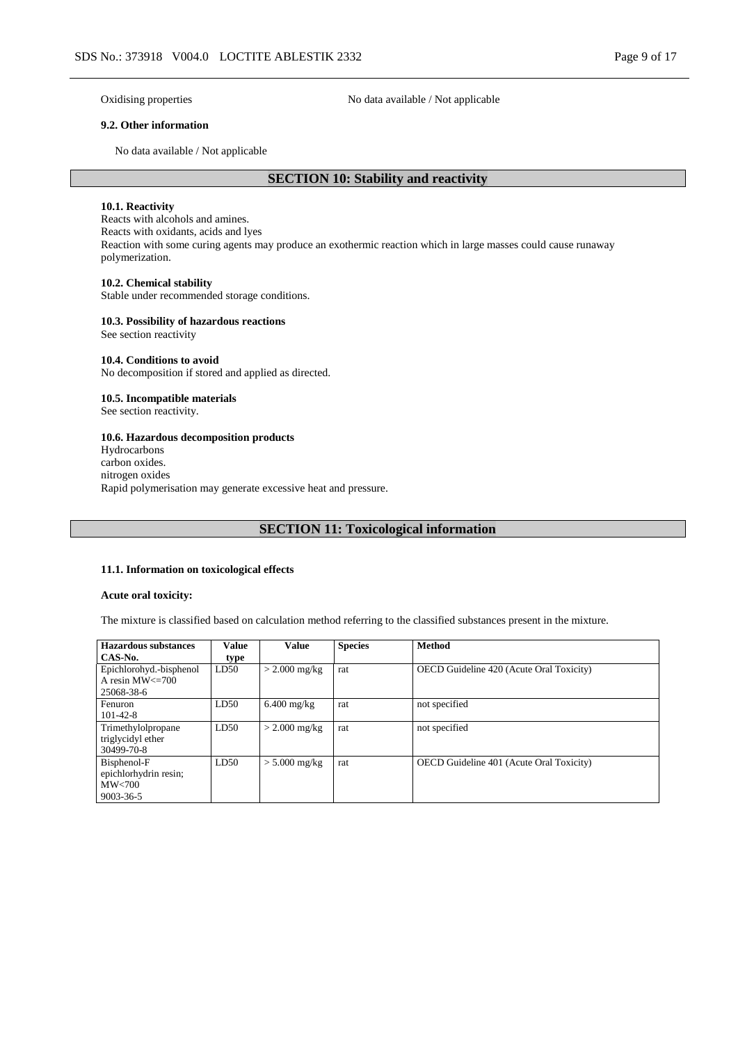Oxidising properties No data available / Not applicable

#### **9.2. Other information**

No data available / Not applicable

# **SECTION 10: Stability and reactivity**

#### **10.1. Reactivity**

Reacts with alcohols and amines. Reacts with oxidants, acids and lyes Reaction with some curing agents may produce an exothermic reaction which in large masses could cause runaway polymerization.

#### **10.2. Chemical stability**

Stable under recommended storage conditions.

#### **10.3. Possibility of hazardous reactions**

See section reactivity

#### **10.4. Conditions to avoid**

No decomposition if stored and applied as directed.

#### **10.5. Incompatible materials**

See section reactivity.

#### **10.6. Hazardous decomposition products**

Hydrocarbons carbon oxides. nitrogen oxides Rapid polymerisation may generate excessive heat and pressure.

# **SECTION 11: Toxicological information**

#### **11.1. Information on toxicological effects**

#### **Acute oral toxicity:**

The mixture is classified based on calculation method referring to the classified substances present in the mixture.

| Hazardous substances                                           | Value | <b>Value</b>    | <b>Species</b> | <b>Method</b>                                   |
|----------------------------------------------------------------|-------|-----------------|----------------|-------------------------------------------------|
| CAS-No.                                                        | type  |                 |                |                                                 |
| Epichlorohyd.-bisphenol<br>A resin $MW \leq 700$<br>25068-38-6 | LD50  | $>$ 2.000 mg/kg | rat            | OECD Guideline 420 (Acute Oral Toxicity)        |
| Fenuron<br>$101 - 42 - 8$                                      | LD50  | $6.400$ mg/kg   | rat            | not specified                                   |
| Trimethylolpropane<br>triglycidyl ether<br>30499-70-8          | LD50  | $>$ 2.000 mg/kg | rat            | not specified                                   |
| Bisphenol-F<br>epichlorhydrin resin;<br>MW<700<br>9003-36-5    | LD50  | $> 5.000$ mg/kg | rat            | <b>OECD</b> Guideline 401 (Acute Oral Toxicity) |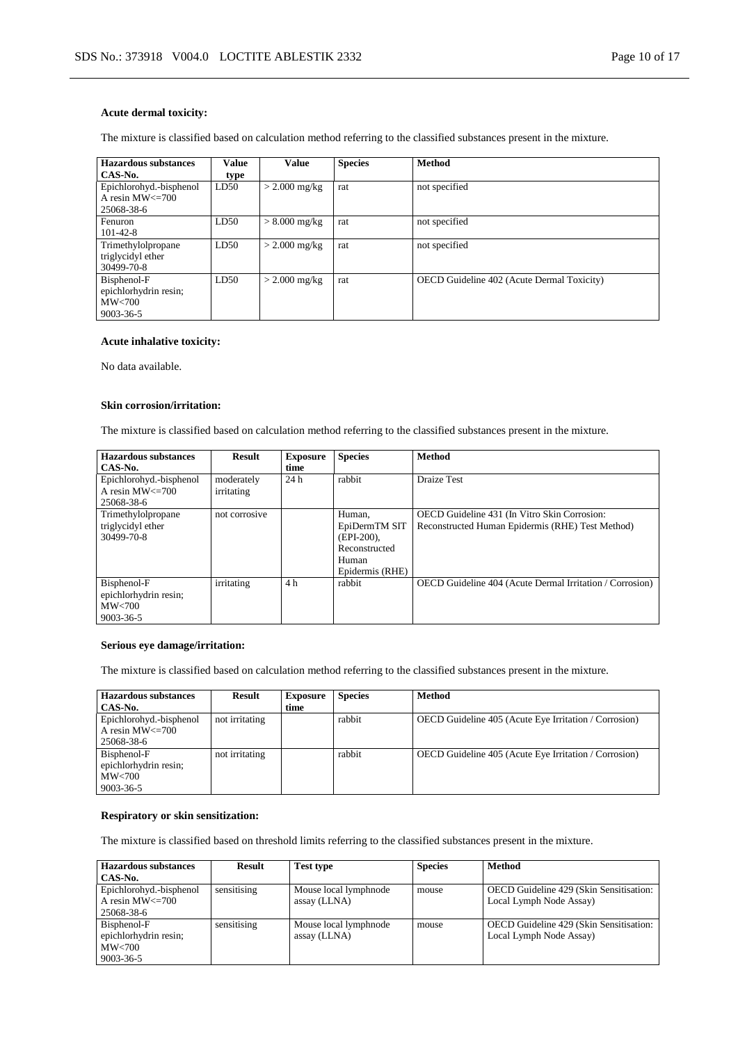#### **Acute dermal toxicity:**

The mixture is classified based on calculation method referring to the classified substances present in the mixture.

| <b>Hazardous substances</b> | <b>Value</b> | Value           | <b>Species</b> | <b>Method</b>                              |
|-----------------------------|--------------|-----------------|----------------|--------------------------------------------|
| CAS-No.                     | type         |                 |                |                                            |
| Epichlorohyd.-bisphenol     | LD50         | $>$ 2.000 mg/kg | rat            | not specified                              |
| A resin $MW \leq 700$       |              |                 |                |                                            |
| 25068-38-6                  |              |                 |                |                                            |
| Fenuron                     | LD50         | $> 8.000$ mg/kg | rat            | not specified                              |
| $101 - 42 - 8$              |              |                 |                |                                            |
| Trimethylolpropane          | LD50         | $>$ 2.000 mg/kg | rat            | not specified                              |
| triglycidyl ether           |              |                 |                |                                            |
| 30499-70-8                  |              |                 |                |                                            |
| Bisphenol-F                 | LD50         | $>$ 2.000 mg/kg | rat            | OECD Guideline 402 (Acute Dermal Toxicity) |
| epichlorhydrin resin;       |              |                 |                |                                            |
| MW<700                      |              |                 |                |                                            |
| 9003-36-5                   |              |                 |                |                                            |

## **Acute inhalative toxicity:**

No data available.

#### **Skin corrosion/irritation:**

The mixture is classified based on calculation method referring to the classified substances present in the mixture.

| <b>Hazardous</b> substances | <b>Result</b> | <b>Exposure</b> | <b>Species</b>  | <b>Method</b>                                            |
|-----------------------------|---------------|-----------------|-----------------|----------------------------------------------------------|
| CAS-No.                     |               | time            |                 |                                                          |
| Epichlorohyd.-bisphenol     | moderately    | 24h             | rabbit          | Draize Test                                              |
| A resin $MW \leq 700$       | irritating    |                 |                 |                                                          |
| 25068-38-6                  |               |                 |                 |                                                          |
| Trimethylolpropane          | not corrosive |                 | Human,          | OECD Guideline 431 (In Vitro Skin Corrosion:             |
| triglycidyl ether           |               |                 | EpiDermTM SIT   | Reconstructed Human Epidermis (RHE) Test Method)         |
| 30499-70-8                  |               |                 | $(EPI-200)$ ,   |                                                          |
|                             |               |                 | Reconstructed   |                                                          |
|                             |               |                 | Human           |                                                          |
|                             |               |                 | Epidermis (RHE) |                                                          |
| Bisphenol-F                 | irritating    | 4 h             | rabbit          | OECD Guideline 404 (Acute Dermal Irritation / Corrosion) |
| epichlorhydrin resin;       |               |                 |                 |                                                          |
| MW<700                      |               |                 |                 |                                                          |
| 9003-36-5                   |               |                 |                 |                                                          |

#### **Serious eye damage/irritation:**

The mixture is classified based on calculation method referring to the classified substances present in the mixture.

| Hazardous substances<br>CAS-No.                                | Result         | <b>Exposure</b><br>time | <b>Species</b> | <b>Method</b>                                                |
|----------------------------------------------------------------|----------------|-------------------------|----------------|--------------------------------------------------------------|
| Epichlorohyd.-bisphenol<br>A resin $MW \leq 700$<br>25068-38-6 | not irritating |                         | rabbit         | <b>OECD</b> Guideline 405 (Acute Eye Irritation / Corrosion) |
| Bisphenol-F<br>epichlorhydrin resin;<br>MW<700<br>9003-36-5    | not irritating |                         | rabbit         | <b>OECD</b> Guideline 405 (Acute Eye Irritation / Corrosion) |

## **Respiratory or skin sensitization:**

The mixture is classified based on threshold limits referring to the classified substances present in the mixture.

| Hazardous substances    | <b>Result</b> | <b>Test type</b>      | <b>Species</b> | <b>Method</b>                           |
|-------------------------|---------------|-----------------------|----------------|-----------------------------------------|
| CAS-No.                 |               |                       |                |                                         |
| Epichlorohyd.-bisphenol | sensitising   | Mouse local lymphnode | mouse          | OECD Guideline 429 (Skin Sensitisation: |
| A resin $MW \leq 700$   |               | assay (LLNA)          |                | Local Lymph Node Assay)                 |
| 25068-38-6              |               |                       |                |                                         |
| Bisphenol-F             | sensitising   | Mouse local lymphnode | mouse          | OECD Guideline 429 (Skin Sensitisation: |
| epichlorhydrin resin;   |               | assay (LLNA)          |                | Local Lymph Node Assay)                 |
| $\text{MW}$ <700        |               |                       |                |                                         |
| 9003-36-5               |               |                       |                |                                         |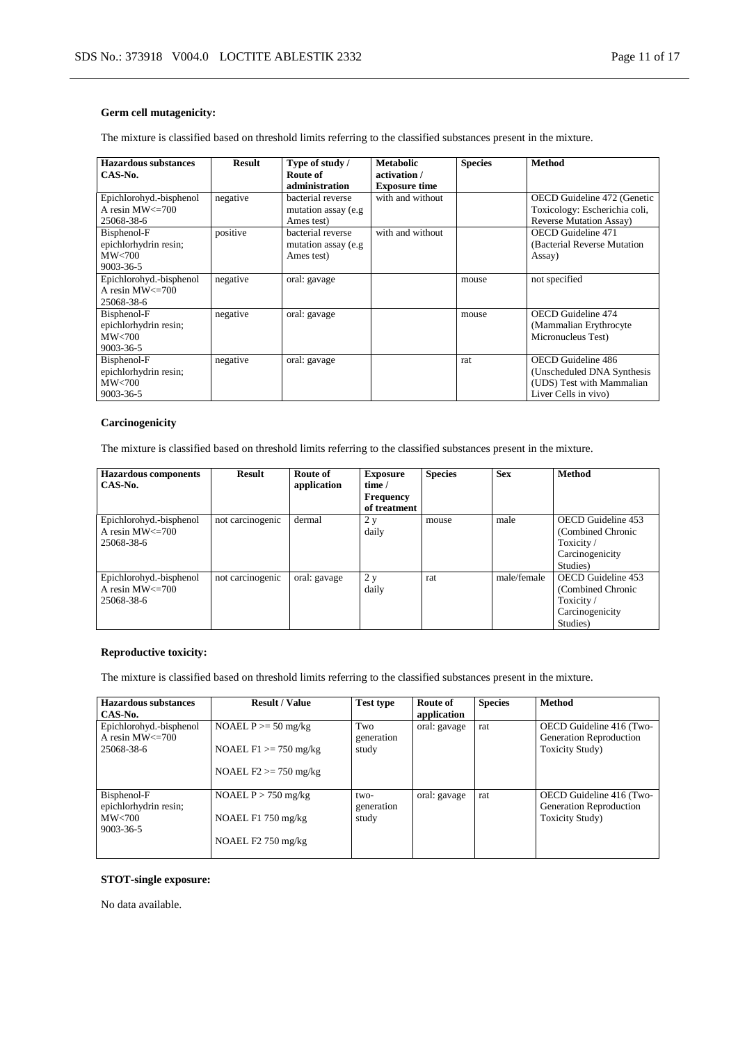# **Germ cell mutagenicity:**

The mixture is classified based on threshold limits referring to the classified substances present in the mixture.

| <b>Hazardous substances</b><br>CAS-No.                                 | <b>Result</b> | Type of study /<br>Route of<br>administration           | <b>Metabolic</b><br>activation /<br><b>Exposure time</b> | <b>Species</b> | <b>Method</b>                                                                                                 |
|------------------------------------------------------------------------|---------------|---------------------------------------------------------|----------------------------------------------------------|----------------|---------------------------------------------------------------------------------------------------------------|
| Epichlorohyd.-bisphenol<br>A resin $MW < = 700$<br>25068-38-6          | negative      | bacterial reverse<br>mutation assay (e.g.<br>Ames test) | with and without                                         |                | OECD Guideline 472 (Genetic<br>Toxicology: Escherichia coli,<br><b>Reverse Mutation Assay</b> )               |
| Bisphenol-F<br>epichlorhydrin resin;<br>MW<700<br>9003-36-5            | positive      | bacterial reverse<br>mutation assay (e.g.<br>Ames test) | with and without                                         |                | <b>OECD</b> Guideline 471<br>(Bacterial Reverse Mutation)<br>Assay)                                           |
| Epichlorohyd.-bisphenol<br>A resin $MW < = 700$<br>25068-38-6          | negative      | oral: gavage                                            |                                                          | mouse          | not specified                                                                                                 |
| Bisphenol-F<br>epichlorhydrin resin;<br>$\text{MW} < 700$<br>9003-36-5 | negative      | oral: gavage                                            |                                                          | mouse          | <b>OECD</b> Guideline 474<br>(Mammalian Erythrocyte)<br>Micronucleus Test)                                    |
| Bisphenol-F<br>epichlorhydrin resin;<br>MW<700<br>9003-36-5            | negative      | oral: gavage                                            |                                                          | rat            | <b>OECD</b> Guideline 486<br>(Unscheduled DNA Synthesis)<br>(UDS) Test with Mammalian<br>Liver Cells in vivo) |

#### **Carcinogenicity**

The mixture is classified based on threshold limits referring to the classified substances present in the mixture.

| <b>Hazardous components</b><br>CAS-No. | <b>Result</b>    | Route of<br>application | <b>Exposure</b><br>time / | <b>Species</b> | <b>Sex</b>  | <b>Method</b>      |
|----------------------------------------|------------------|-------------------------|---------------------------|----------------|-------------|--------------------|
|                                        |                  |                         | <b>Frequency</b>          |                |             |                    |
|                                        |                  |                         | of treatment              |                |             |                    |
| Epichlorohyd.-bisphenol                | not carcinogenic | dermal                  | 2 y                       | mouse          | male        | OECD Guideline 453 |
| A resin $MW \le 700$                   |                  |                         | daily                     |                |             | (Combined Chronic  |
| 25068-38-6                             |                  |                         |                           |                |             | Toxicity/          |
|                                        |                  |                         |                           |                |             | Carcinogenicity    |
|                                        |                  |                         |                           |                |             | Studies)           |
| Epichlorohyd.-bisphenol                | not carcinogenic | oral: gavage            | 2 y                       | rat            | male/female | OECD Guideline 453 |
| A resin $MW \le 700$                   |                  |                         | daily                     |                |             | (Combined Chronic  |
| 25068-38-6                             |                  |                         |                           |                |             | Toxicity/          |
|                                        |                  |                         |                           |                |             | Carcinogenicity    |
|                                        |                  |                         |                           |                |             | Studies)           |

## **Reproductive toxicity:**

The mixture is classified based on threshold limits referring to the classified substances present in the mixture.

| Hazardous substances                                              | <b>Result / Value</b>                                                 | <b>Test type</b>            | Route of     | <b>Species</b> | <b>Method</b>                                                                  |
|-------------------------------------------------------------------|-----------------------------------------------------------------------|-----------------------------|--------------|----------------|--------------------------------------------------------------------------------|
| CAS-No.                                                           |                                                                       |                             | application  |                |                                                                                |
| Epichlorohyd.-bisphenol<br>A resin $MW \le 700$<br>25068-38-6     | NOAEL $P \ge 50$ mg/kg<br>NOAEL $F1 \ge 750$ mg/kg                    | Two<br>generation<br>study  | oral: gavage | rat            | OECD Guideline 416 (Two-<br>Generation Reproduction<br><b>Toxicity Study</b> ) |
|                                                                   | NOAEL $F2 \ge 750$ mg/kg                                              |                             |              |                |                                                                                |
| Bisphenol-F<br>epichlorhydrin resin;<br>MW<700<br>$9003 - 36 - 5$ | NOAEL $P > 750$ mg/kg<br>NOAEL $F1$ 750 mg/kg<br>NOAEL $F2$ 750 mg/kg | two-<br>generation<br>study | oral: gavage | rat            | OECD Guideline 416 (Two-<br>Generation Reproduction<br><b>Toxicity Study</b> ) |

#### **STOT-single exposure:**

No data available.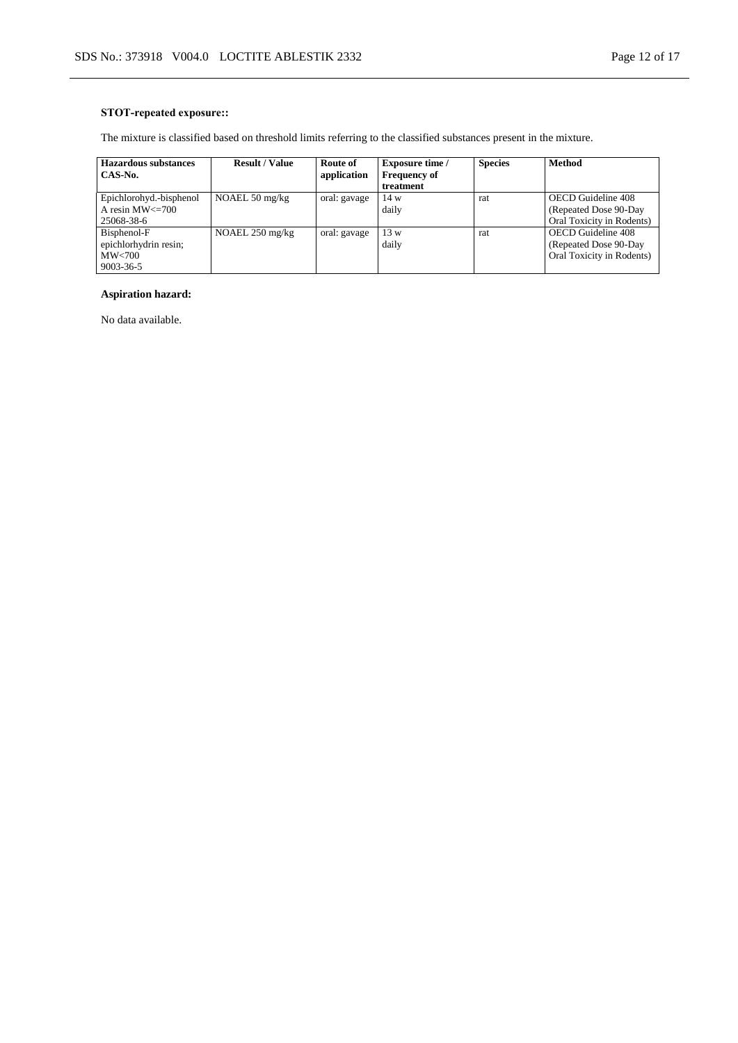# **STOT-repeated exposure::**

The mixture is classified based on threshold limits referring to the classified substances present in the mixture.

| <b>Hazardous substances</b> | <b>Result / Value</b>     | Route of     | <b>Exposure time /</b> | <b>Species</b> | <b>Method</b>             |
|-----------------------------|---------------------------|--------------|------------------------|----------------|---------------------------|
| CAS-No.                     |                           | application  | <b>Frequency of</b>    |                |                           |
|                             |                           |              | treatment              |                |                           |
| Epichlorohyd.-bisphenol     | NOAEL 50 $mg/kg$          | oral: gavage | 14 w                   | rat            | OECD Guideline 408        |
| A resin $MW \leq 700$       |                           |              | daily                  |                | (Repeated Dose 90-Day)    |
| 25068-38-6                  |                           |              |                        |                | Oral Toxicity in Rodents) |
| Bisphenol-F                 | NOAEL $250 \text{ mg/kg}$ | oral: gavage | 13 w                   | rat            | OECD Guideline 408        |
| epichlorhydrin resin;       |                           |              | daily                  |                | (Repeated Dose 90-Day)    |
| MW<700                      |                           |              |                        |                | Oral Toxicity in Rodents) |
| 9003-36-5                   |                           |              |                        |                |                           |

# **Aspiration hazard:**

No data available.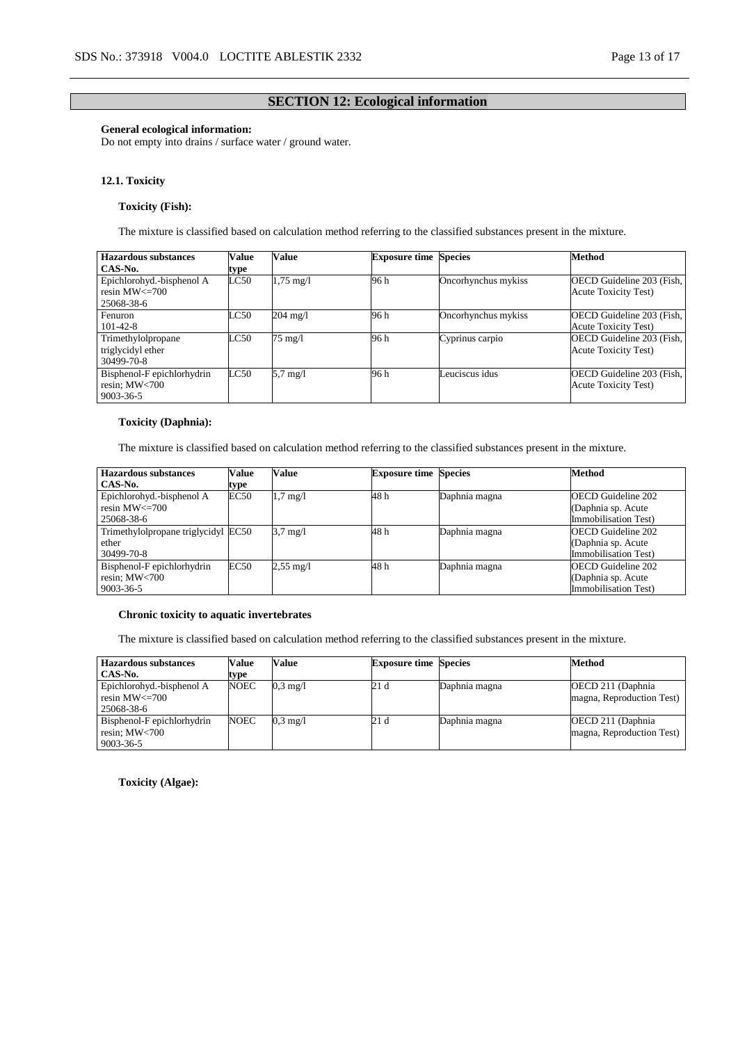## **SECTION 12: Ecological information**

### **General ecological information:**

Do not empty into drains / surface water / ground water.

#### **12.1. Toxicity**

## **Toxicity (Fish):**

The mixture is classified based on calculation method referring to the classified substances present in the mixture.

| Hazardous substances                             | Value | Value               | <b>Exposure time Species</b> |                     | <b>Method</b>                                            |
|--------------------------------------------------|-------|---------------------|------------------------------|---------------------|----------------------------------------------------------|
| CAS-No.                                          | type  |                     |                              |                     |                                                          |
| Epichlorohyd.-bisphenol A<br>resin $MW \leq 700$ | LC50  | $1,75 \text{ mg}/1$ | 96 h                         | Oncorhynchus mykiss | OECD Guideline 203 (Fish,<br><b>Acute Toxicity Test)</b> |
| 25068-38-6                                       |       |                     |                              |                     |                                                          |
| Fenuron                                          | LC50  | $204 \text{ mg}/1$  | 96 h                         | Oncorhynchus mykiss | OECD Guideline 203 (Fish,                                |
| $101 - 42 - 8$                                   |       |                     |                              |                     | <b>Acute Toxicity Test)</b>                              |
| Trimethylolpropane                               | LC50  | 75 mg/l             | 96 h                         | Cyprinus carpio     | OECD Guideline 203 (Fish,                                |
| triglycidyl ether                                |       |                     |                              |                     | <b>Acute Toxicity Test)</b>                              |
| 30499-70-8                                       |       |                     |                              |                     |                                                          |
| Bisphenol-F epichlorhydrin                       | LC50  | $5.7 \text{ mg}/l$  | 96 h                         | Leuciscus idus      | OECD Guideline 203 (Fish,                                |
| resin; $MW<700$                                  |       |                     |                              |                     | <b>Acute Toxicity Test)</b>                              |
| 9003-36-5                                        |       |                     |                              |                     |                                                          |

## **Toxicity (Daphnia):**

The mixture is classified based on calculation method referring to the classified substances present in the mixture.

| <b>Hazardous substances</b>         | Value | <b>Value</b>        | <b>Exposure time Species</b> |               | Method                    |
|-------------------------------------|-------|---------------------|------------------------------|---------------|---------------------------|
| CAS-No.                             | type  |                     |                              |               |                           |
| Epichlorohyd.-bisphenol A           | EC50  | $1.7 \text{ mg}/1$  | 48 h                         | Daphnia magna | OECD Guideline 202        |
| resin $MW \leq 700$                 |       |                     |                              |               | (Daphnia sp. Acute)       |
| 25068-38-6                          |       |                     |                              |               | Immobilisation Test)      |
| Trimethylolpropane triglycidyl EC50 |       | $3.7 \text{ mg}/1$  | 48 h                         | Daphnia magna | <b>OECD</b> Guideline 202 |
| ether                               |       |                     |                              |               | (Daphnia sp. Acute        |
| 30499-70-8                          |       |                     |                              |               | Immobilisation Test)      |
| Bisphenol-F epichlorhydrin          | EC50  | $2,55 \text{ mg}/1$ | 48 h                         | Daphnia magna | <b>OECD</b> Guideline 202 |
| resin; MW<700                       |       |                     |                              |               | (Daphnia sp. Acute        |
| 9003-36-5                           |       |                     |                              |               | Immobilisation Test)      |

#### **Chronic toxicity to aquatic invertebrates**

The mixture is classified based on calculation method referring to the classified substances present in the mixture.

| <b>Hazardous substances</b><br>CAS-No.                        | Value               | Value              | <b>Exposure time Species</b> |               | Method                                          |
|---------------------------------------------------------------|---------------------|--------------------|------------------------------|---------------|-------------------------------------------------|
| Epichlorohyd.-bisphenol A<br>resin $MW < = 700$<br>25068-38-6 | type<br><b>NOEC</b> | $0.3 \text{ mg}/1$ | 21 d                         | Daphnia magna | OECD 211 (Daphnia)<br>magna, Reproduction Test) |
| Bisphenol-F epichlorhydrin<br>resin; MW<700<br>9003-36-5      | <b>NOEC</b>         | $0.3 \text{ mg}/1$ | 21 d                         | Daphnia magna | OECD 211 (Daphnia)<br>magna, Reproduction Test) |

**Toxicity (Algae):**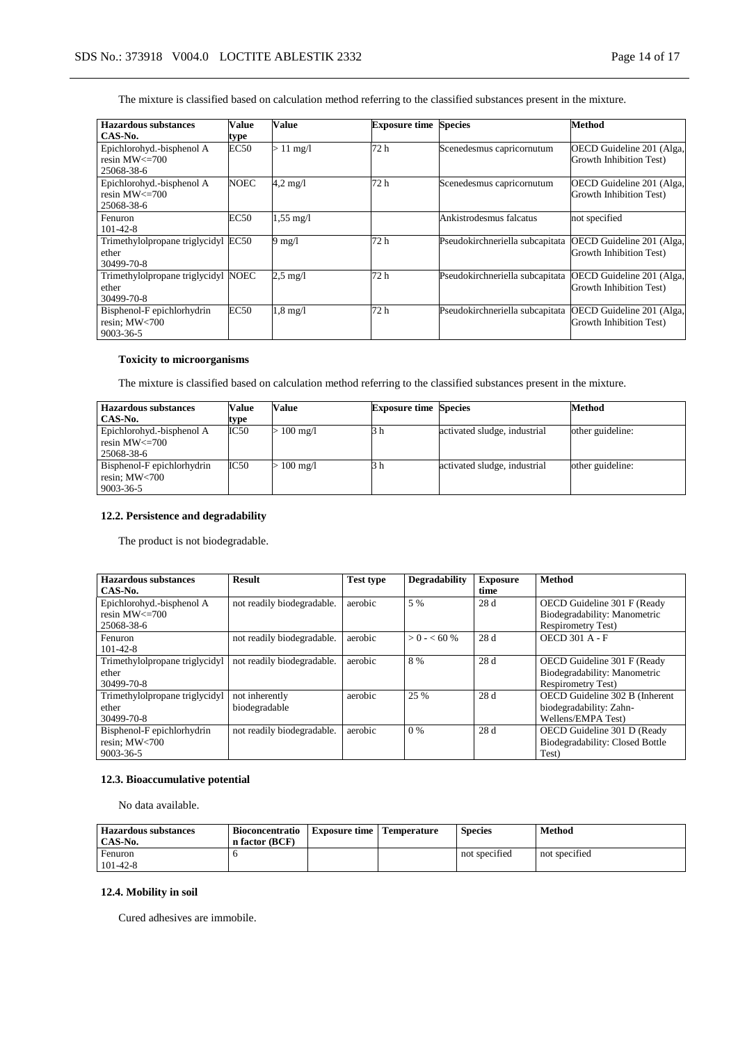The mixture is classified based on calculation method referring to the classified substances present in the mixture.

| Hazardous substances                | Value       | Value               | <b>Exposure time Species</b> |                                 | Method                    |
|-------------------------------------|-------------|---------------------|------------------------------|---------------------------------|---------------------------|
| CAS-No.                             | type        |                     |                              |                                 |                           |
| Epichlorohyd.-bisphenol A           | <b>EC50</b> | $>11 \text{ mg/l}$  | 72 h                         | Scenedesmus capricornutum       | OECD Guideline 201 (Alga, |
| resin $MW \leq 700$                 |             |                     |                              |                                 | Growth Inhibition Test)   |
| 25068-38-6                          |             |                     |                              |                                 |                           |
| Epichlorohyd.-bisphenol A           | <b>NOEC</b> | $4,2 \text{ mg}/1$  | 72 h                         | Scenedesmus capricornutum       | OECD Guideline 201 (Alga, |
| resin $MW \leq 700$                 |             |                     |                              |                                 | Growth Inhibition Test)   |
| 25068-38-6                          |             |                     |                              |                                 |                           |
| Fenuron                             | <b>EC50</b> | $1,55 \text{ mg}/1$ |                              | Ankistrodesmus falcatus         | not specified             |
| $101 - 42 - 8$                      |             |                     |                              |                                 |                           |
| Trimethylolpropane triglycidyl      | EC50        | $9 \text{ mg}/1$    | 72 h                         | Pseudokirchneriella subcapitata | OECD Guideline 201 (Alga, |
| ether                               |             |                     |                              |                                 | Growth Inhibition Test)   |
| 30499-70-8                          |             |                     |                              |                                 |                           |
| Trimethylolpropane triglycidyl NOEC |             | $2.5 \text{ mg}/1$  | 72 h                         | Pseudokirchneriella subcapitata | OECD Guideline 201 (Alga, |
| ether                               |             |                     |                              |                                 | Growth Inhibition Test)   |
| 30499-70-8                          |             |                     |                              |                                 |                           |
| Bisphenol-F epichlorhydrin          | EC50        | $1,8 \text{ mg}/1$  | 72 h                         | Pseudokirchneriella subcapitata | OECD Guideline 201 (Alga, |
| resin; MW<700                       |             |                     |                              |                                 | Growth Inhibition Test)   |
| $9003 - 36 - 5$                     |             |                     |                              |                                 |                           |

# **Toxicity to microorganisms**

The mixture is classified based on calculation method referring to the classified substances present in the mixture.

| <b>Hazardous substances</b>                                            | Value | Value              | <b>Exposure time Species</b> |                              | <b>Method</b>    |
|------------------------------------------------------------------------|-------|--------------------|------------------------------|------------------------------|------------------|
| CAS-No.                                                                | type  |                    |                              |                              |                  |
| Epichlorohyd.-bisphenol A<br>$\sqrt{\frac{1}{1}}$ resin MW $\leq$ =700 | IC50  | $100 \text{ mg}/1$ | 3 h                          | activated sludge, industrial | other guideline: |
| 25068-38-6                                                             |       |                    |                              |                              |                  |
| Bisphenol-F epichlorhydrin<br>resin; MW<700<br>9003-36-5               | IC50  | $\cdot$ 100 mg/l   |                              | activated sludge, industrial | other guideline: |

## **12.2. Persistence and degradability**

The product is not biodegradable.

| <b>Hazardous substances</b>    | <b>Result</b>              | <b>Test type</b> | <b>Degradability</b> | <b>Exposure</b> | <b>Method</b>                   |
|--------------------------------|----------------------------|------------------|----------------------|-----------------|---------------------------------|
| CAS-No.                        |                            |                  |                      | time            |                                 |
| Epichlorohyd.-bisphenol A      | not readily biodegradable. | aerobic          | 5 %                  | 28 d            | OECD Guideline 301 F (Ready     |
| resin $MW \leq 700$            |                            |                  |                      |                 | Biodegradability: Manometric    |
| 25068-38-6                     |                            |                  |                      |                 | <b>Respirometry Test)</b>       |
| Fenuron                        | not readily biodegradable. | aerobic          | $> 0 - 60\%$         | 28 d            | <b>OECD 301 A - F</b>           |
| $101 - 42 - 8$                 |                            |                  |                      |                 |                                 |
| Trimethylolpropane triglycidyl | not readily biodegradable. | aerobic          | 8 %                  | 28 d            | OECD Guideline 301 F (Ready     |
| ether                          |                            |                  |                      |                 | Biodegradability: Manometric    |
| 30499-70-8                     |                            |                  |                      |                 | <b>Respirometry Test)</b>       |
| Trimethylolpropane triglycidyl | not inherently             | aerobic          | 25 %                 | 28 d            | OECD Guideline 302 B (Inherent  |
| ether                          | biodegradable              |                  |                      |                 | biodegradability: Zahn-         |
| 30499-70-8                     |                            |                  |                      |                 | Wellens/EMPA Test)              |
| Bisphenol-F epichlorhydrin     | not readily biodegradable. | aerobic          | $0\%$                | 28d             | OECD Guideline 301 D (Ready     |
| resin: $MW<700$                |                            |                  |                      |                 | Biodegradability: Closed Bottle |
| 9003-36-5                      |                            |                  |                      |                 | Test)                           |

#### **12.3. Bioaccumulative potential**

No data available.

| <b>Hazardous substances</b><br>CAS-No. | <b>Bioconcentratio</b><br>n factor (BCF) | <b>Exposure time</b> | <b>Temperature</b> | <b>Species</b> | <b>Method</b> |
|----------------------------------------|------------------------------------------|----------------------|--------------------|----------------|---------------|
| Fenuron<br>$101 - 42 - 8$              |                                          |                      |                    | not specified  | not specified |

# **12.4. Mobility in soil**

Cured adhesives are immobile.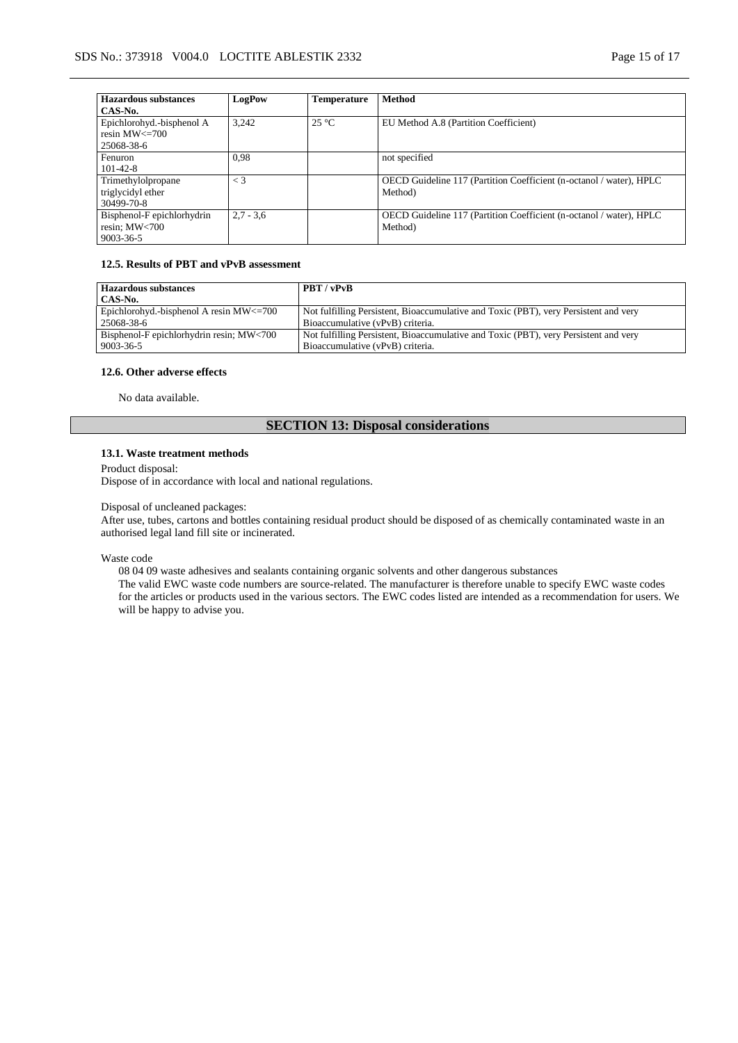| <b>Hazardous substances</b> | LogPow      | <b>Temperature</b> | <b>Method</b>                                                       |
|-----------------------------|-------------|--------------------|---------------------------------------------------------------------|
| CAS-No.                     |             |                    |                                                                     |
| Epichlorohyd.-bisphenol A   | 3.242       | $25^{\circ}$ C     | EU Method A.8 (Partition Coefficient)                               |
| resin $MW \leq 700$         |             |                    |                                                                     |
| 25068-38-6                  |             |                    |                                                                     |
| Fenuron                     | 0.98        |                    | not specified                                                       |
| $101 - 42 - 8$              |             |                    |                                                                     |
| Trimethylolpropane          | $\lt$ 3     |                    | OECD Guideline 117 (Partition Coefficient (n-octanol / water), HPLC |
| triglycidyl ether           |             |                    | Method)                                                             |
| 30499-70-8                  |             |                    |                                                                     |
| Bisphenol-F epichlorhydrin  | $2.7 - 3.6$ |                    | OECD Guideline 117 (Partition Coefficient (n-octanol / water), HPLC |
| resin; $MW<700$             |             |                    | Method)                                                             |
| 9003-36-5                   |             |                    |                                                                     |

#### **12.5. Results of PBT and vPvB assessment**

| <b>Hazardous substances</b>                   | <b>PBT</b> / vPvB                                                                    |
|-----------------------------------------------|--------------------------------------------------------------------------------------|
| CAS-No.                                       |                                                                                      |
| Epichlorohyd.-bisphenol A resin $MW \leq 700$ | Not fulfilling Persistent, Bioaccumulative and Toxic (PBT), very Persistent and very |
| 25068-38-6                                    | Bioaccumulative (vPvB) criteria.                                                     |
| Bisphenol-F epichlorhydrin resin; $MW<700$    | Not fulfilling Persistent, Bioaccumulative and Toxic (PBT), very Persistent and very |
| 9003-36-5                                     | Bioaccumulative (vPvB) criteria.                                                     |

#### **12.6. Other adverse effects**

No data available.

# **SECTION 13: Disposal considerations**

# **13.1. Waste treatment methods**

#### Product disposal:

Dispose of in accordance with local and national regulations.

## Disposal of uncleaned packages:

After use, tubes, cartons and bottles containing residual product should be disposed of as chemically contaminated waste in an authorised legal land fill site or incinerated.

Waste code

08 04 09 waste adhesives and sealants containing organic solvents and other dangerous substances

The valid EWC waste code numbers are source-related. The manufacturer is therefore unable to specify EWC waste codes for the articles or products used in the various sectors. The EWC codes listed are intended as a recommendation for users. We will be happy to advise you.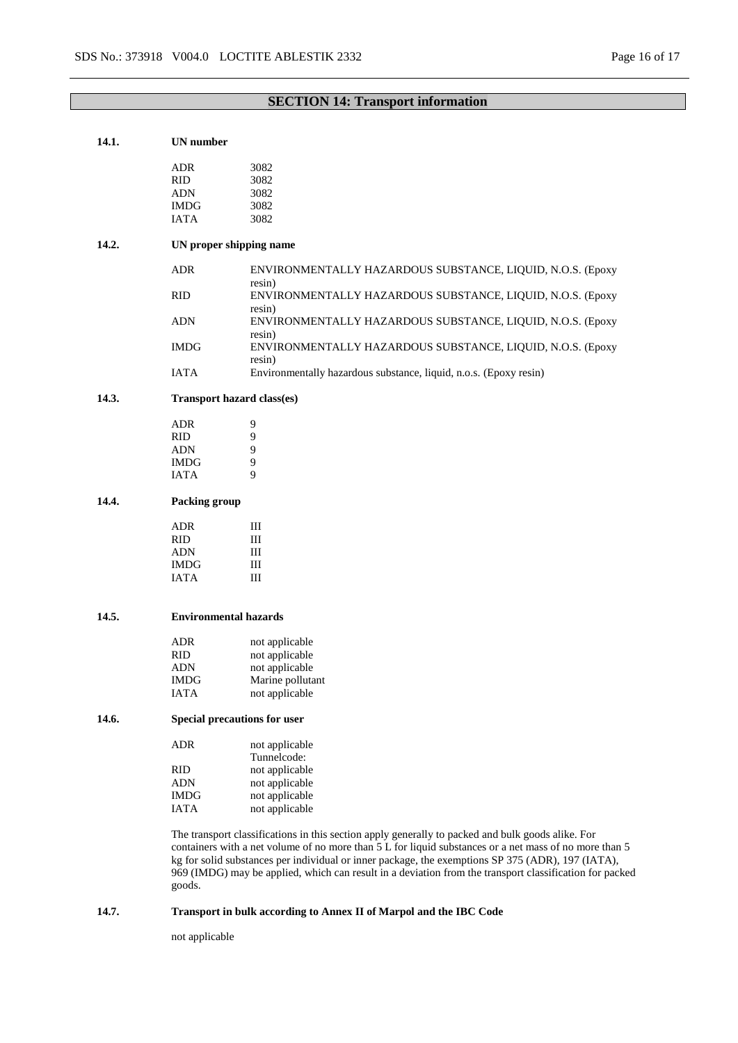| 14.1. | <b>UN</b> number                                                                                                                                                                                                                                                                                                                                                                                                                      |                                                                      |  |
|-------|---------------------------------------------------------------------------------------------------------------------------------------------------------------------------------------------------------------------------------------------------------------------------------------------------------------------------------------------------------------------------------------------------------------------------------------|----------------------------------------------------------------------|--|
|       | <b>ADR</b>                                                                                                                                                                                                                                                                                                                                                                                                                            | 3082                                                                 |  |
|       | <b>RID</b>                                                                                                                                                                                                                                                                                                                                                                                                                            | 3082                                                                 |  |
|       |                                                                                                                                                                                                                                                                                                                                                                                                                                       |                                                                      |  |
|       | ADN                                                                                                                                                                                                                                                                                                                                                                                                                                   | 3082                                                                 |  |
|       | <b>IMDG</b>                                                                                                                                                                                                                                                                                                                                                                                                                           | 3082                                                                 |  |
|       | <b>IATA</b>                                                                                                                                                                                                                                                                                                                                                                                                                           | 3082                                                                 |  |
| 14.2. | UN proper shipping name                                                                                                                                                                                                                                                                                                                                                                                                               |                                                                      |  |
|       | <b>ADR</b>                                                                                                                                                                                                                                                                                                                                                                                                                            | ENVIRONMENTALLY HAZARDOUS SUBSTANCE, LIQUID, N.O.S. (Epoxy<br>resin) |  |
|       | <b>RID</b>                                                                                                                                                                                                                                                                                                                                                                                                                            | ENVIRONMENTALLY HAZARDOUS SUBSTANCE, LIQUID, N.O.S. (Epoxy<br>resin) |  |
|       | <b>ADN</b>                                                                                                                                                                                                                                                                                                                                                                                                                            | ENVIRONMENTALLY HAZARDOUS SUBSTANCE, LIQUID, N.O.S. (Epoxy<br>resin) |  |
|       | <b>IMDG</b>                                                                                                                                                                                                                                                                                                                                                                                                                           | ENVIRONMENTALLY HAZARDOUS SUBSTANCE, LIQUID, N.O.S. (Epoxy<br>resin) |  |
|       | <b>IATA</b>                                                                                                                                                                                                                                                                                                                                                                                                                           | Environmentally hazardous substance, liquid, n.o.s. (Epoxy resin)    |  |
| 14.3. | Transport hazard class(es)                                                                                                                                                                                                                                                                                                                                                                                                            |                                                                      |  |
|       | <b>ADR</b>                                                                                                                                                                                                                                                                                                                                                                                                                            | 9                                                                    |  |
|       | <b>RID</b>                                                                                                                                                                                                                                                                                                                                                                                                                            | 9                                                                    |  |
|       | ADN                                                                                                                                                                                                                                                                                                                                                                                                                                   | 9                                                                    |  |
|       | <b>IMDG</b>                                                                                                                                                                                                                                                                                                                                                                                                                           | 9                                                                    |  |
|       | <b>IATA</b>                                                                                                                                                                                                                                                                                                                                                                                                                           | 9                                                                    |  |
| 14.4. | Packing group                                                                                                                                                                                                                                                                                                                                                                                                                         |                                                                      |  |
|       |                                                                                                                                                                                                                                                                                                                                                                                                                                       |                                                                      |  |
|       | <b>ADR</b>                                                                                                                                                                                                                                                                                                                                                                                                                            | Ш                                                                    |  |
|       | <b>RID</b>                                                                                                                                                                                                                                                                                                                                                                                                                            | Ш                                                                    |  |
|       | <b>ADN</b>                                                                                                                                                                                                                                                                                                                                                                                                                            | Ш                                                                    |  |
|       | <b>IMDG</b>                                                                                                                                                                                                                                                                                                                                                                                                                           | Ш                                                                    |  |
|       | <b>IATA</b>                                                                                                                                                                                                                                                                                                                                                                                                                           | III                                                                  |  |
| 14.5. |                                                                                                                                                                                                                                                                                                                                                                                                                                       | <b>Environmental hazards</b>                                         |  |
|       | <b>ADR</b>                                                                                                                                                                                                                                                                                                                                                                                                                            | not applicable                                                       |  |
|       | <b>RID</b>                                                                                                                                                                                                                                                                                                                                                                                                                            | not applicable                                                       |  |
|       | ADN                                                                                                                                                                                                                                                                                                                                                                                                                                   | not applicable                                                       |  |
|       | IMDG                                                                                                                                                                                                                                                                                                                                                                                                                                  | Marine pollutant                                                     |  |
|       | <b>IATA</b>                                                                                                                                                                                                                                                                                                                                                                                                                           | not applicable                                                       |  |
| 14.6. | Special precautions for user                                                                                                                                                                                                                                                                                                                                                                                                          |                                                                      |  |
|       | ADR                                                                                                                                                                                                                                                                                                                                                                                                                                   | not applicable                                                       |  |
|       |                                                                                                                                                                                                                                                                                                                                                                                                                                       | Tunnelcode:                                                          |  |
|       | <b>RID</b>                                                                                                                                                                                                                                                                                                                                                                                                                            | not applicable                                                       |  |
|       | <b>ADN</b>                                                                                                                                                                                                                                                                                                                                                                                                                            | not applicable                                                       |  |
|       | <b>IMDG</b>                                                                                                                                                                                                                                                                                                                                                                                                                           | not applicable                                                       |  |
|       | <b>IATA</b>                                                                                                                                                                                                                                                                                                                                                                                                                           | not applicable                                                       |  |
|       | The transport classifications in this section apply generally to packed and bulk goods alike. For<br>containers with a net volume of no more than 5 L for liquid substances or a net mass of no more than 5<br>kg for solid substances per individual or inner package, the exemptions SP 375 (ADR), 197 (IATA),<br>969 (IMDG) may be applied, which can result in a deviation from the transport classification for packed<br>goods. |                                                                      |  |
|       |                                                                                                                                                                                                                                                                                                                                                                                                                                       |                                                                      |  |

# **14.7. Transport in bulk according to Annex II of Marpol and the IBC Code**

not applicable